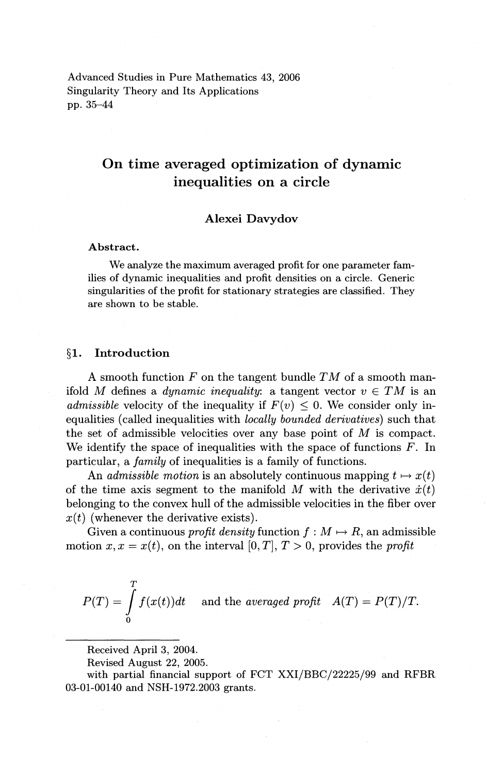Advanced Studies in Pure Mathematics 43, 2006 Singularity Theory and Its Applications pp. 35-44

# On time averaged optimization of dynamic inequalities on a circle

## Alexei Davydov

#### Abstract.

We analyze the maximum averaged profit for one parameter families of dynamic inequalities and profit densities on a circle. Generic singularities of the profit for stationary strategies are classified. They are shown to be stable.

## §1. Introduction

A smooth function  $F$  on the tangent bundle  $TM$  of a smooth manifold *M* defines a *dynamic inequality*: a tangent vector  $v \in TM$  is an *admissible velocity of the inequality if*  $F(v) \leq 0$ . We consider only inequalities (called inequalities with *locally bounded derivatives)* such that the set of admissible velocities over any base point of *M* is compact. We identify the space of inequalities with the space of functions  $F$ . In particular, a *family* of inequalities is a family of functions.

An *admissible motion* is an absolutely continuous mapping  $t \mapsto x(t)$ of the time axis segment to the manifold  $M$  with the derivative  $\dot{x}(t)$ belonging to the convex hull of the admissible velocities in the fiber over  $x(t)$  (whenever the derivative exists).

Given a continuous *profit density* function  $f : M \mapsto R$ , an admissible motion  $x, x = x(t)$ , on the interval [0, *T*],  $T > 0$ , provides the *profit* 

$$
P(T) = \int_{0}^{T} f(x(t))dt
$$
 and the averaged profit  $A(T) = P(T)/T$ .

Received April 3, 2004.

Revised August 22, 2005.

with partial financial support of FCT XXI/BBC/22225/99 and RFBR 03-01-00140 and NSH-1972.2003 grants.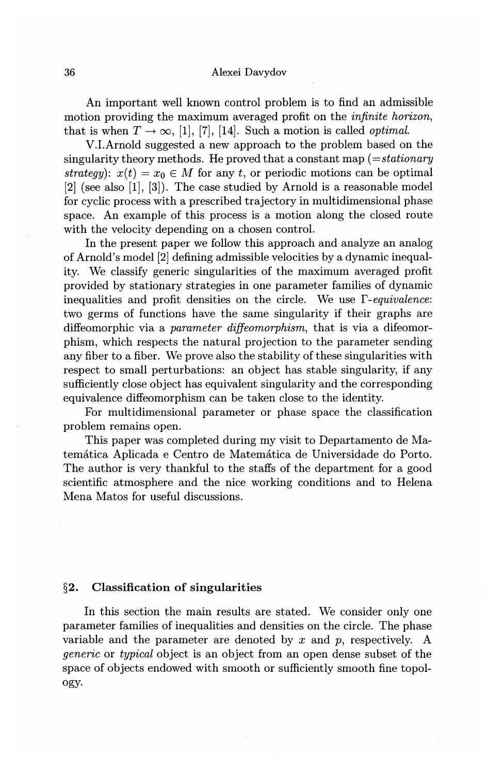An important well known control problem is to find an admissible motion providing the maximum averaged profit on the *infinite horizon,*  that is when  $T \to \infty$ , [1], [7], [14]. Such a motion is called *optimal*.

V.I.Arnold suggested a new approach to the problem based on the singularity theory methods. He proved that a constant map *(=stationary strategy*):  $x(t) = x_0 \in M$  for any *t*, or periodic motions can be optimal [2] (see also [1], [3]). The case studied by Arnold is a reasonable model for cyclic process with a prescribed trajectory in multidimensional phase space. An example of this process is a motion along the closed route with the velocity depending on a chosen control.

In the present paper we follow this approach and analyze an analog of Arnold's model [2] defining admissible velocities by a dynamic inequality. We classify generic singularities of the maximum averaged profit provided by stationary strategies in one parameter families of dynamic inequalities and profit densities on the circle. We use  $\Gamma$ -equivalence: two germs of functions have the same singularity if their graphs are diffeomorphic via a *parameter diffeomorphism,* that is via a difeomorphism, which respects the natural projection to the parameter sending any fiber to a fiber. We prove also the stability of these singularities with respect to small perturbations: an object has stable singularity, if any sufficiently close object has equivalent singularity and the corresponding equivalence diffeomorphism can be taken close to the identity.

For multidimensional parameter or phase space the classification problem remains open.

This paper was completed during my visit to Departamento de Matematica Aplicada e Centro de Matematica de Universidade do Porto. The author is very thankful to the staffs of the department for a good scientific atmosphere and the nice working conditions and to Helena Mena Matos for useful discussions.

## **§2. Classification of singularities**

In this section the main results are stated. We consider only one parameter families of inequalities and densities on the circle. The phase variable and the parameter are denoted by *x* and p, respectively. A *generic* or *typical* object is an object from an open dense subset of the space of objects endowed with smooth or sufficiently smooth fine topology.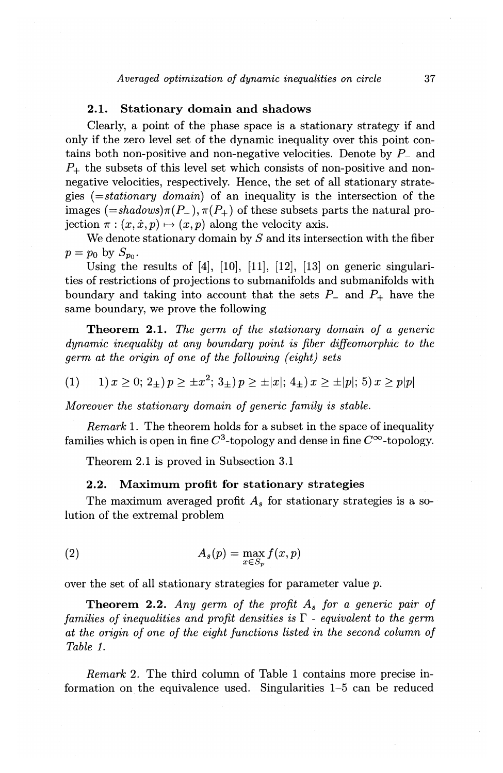# 2.1. Stationary domain and shadows

Clearly, a point of the phase space is a stationary strategy if and only if the zero level set of the dynamic inequality over this point contains both non-positive and non-negative velocities. Denote by *P\_* and *P+* the subsets of this level set which consists of non-positive and nonnegative velocities, respectively. Hence, the set of all stationary strategies *(=stationary domain)* of an inequality is the intersection of the images  $(=shadows)\pi(P_-), \pi(P_+)$  of these subsets parts the natural projection  $\pi$ :  $(x, \dot{x}, p) \mapsto (x, p)$  along the velocity axis.

We denote stationary domain by *S* and its intersection with the fiber  $p = p_0$  by  $S_{p_0}$ .

Using the results of  $[4]$ ,  $[10]$ ,  $[11]$ ,  $[12]$ ,  $[13]$  on generic singularities of restrictions of projections to submanifolds and submanifolds with boundary and taking into account that the sets  $P_{-}$  and  $P_{+}$  have the same boundary, we prove the following

Theorem 2.1. *The gerrn of the stationary domain of a generic dynamic inequality at any boundary point is fiber diffeomorphic to the gerrn at the origin of one of the following (eight) sets* 

$$
(1) \qquad 1) \, x \ge 0; \, 2_{\pm} \, y \ge \pm x^2; \, 3_{\pm} \, y \ge \pm |x|; \, 4_{\pm} \, y \ge \pm |p|; \, 5) \, x \ge p|p|
$$

*Moreover the stationary domain of generic family is stable.* 

*Remark* 1. The theorem holds for a subset in the space of inequality families which is open in fine  $C^3$ -topology and dense in fine  $C^{\infty}$ -topology.

Theorem 2.1 is proved in Subsection 3.1

### 2.2. Maximum profit for stationary strategies

The maximum averaged profit *As* for stationary strategies is a solution of the extremal problem

(2) 
$$
A_s(p) = \max_{x \in S_p} f(x, p)
$$

over the set of all stationary strategies for parameter value p.

Theorem 2.2. *Any gerrn of the profit As for a generic pair of families of inequalities and profit densities is*  $\Gamma$  - *equivalent to the germ at the origin of one of the eight functions listed in the second column of Table 1.* 

*Remark* 2. The third column of Table 1 contains more precise information on the equivalence used. Singularities 1-5 can be reduced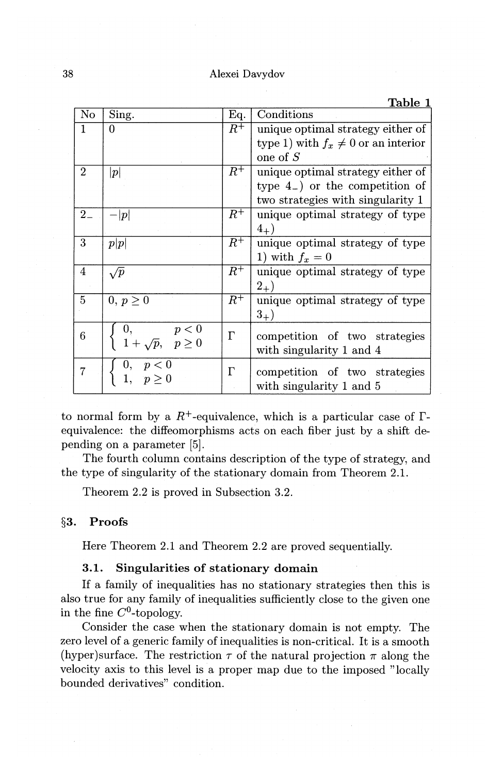38 Alexei Davydov

|                |                                                                      |           | Table 1                                  |
|----------------|----------------------------------------------------------------------|-----------|------------------------------------------|
| $\rm No$       | Sing.                                                                | Eq.       | Conditions                               |
| $\mathbf{1}$   | 0                                                                    | $R^+$     | unique optimal strategy either of        |
|                |                                                                      |           | type 1) with $f_x \neq 0$ or an interior |
|                |                                                                      |           | one of $S$                               |
| $\overline{2}$ | p                                                                    | $R^+$     | unique optimal strategy either of        |
|                |                                                                      |           | type $4_{-}$ ) or the competition of     |
|                |                                                                      |           | two strategies with singularity 1        |
| $2-$           | p                                                                    | $\,R^+\,$ | unique optimal strategy of type          |
|                |                                                                      |           | $(4_{+})$                                |
| 3              | p p                                                                  | $R^{\mp}$ | unique optimal strategy of type          |
|                |                                                                      |           | 1) with $f_x = 0$                        |
| 4              | $\sqrt{p}$                                                           | $R^+$     | unique optimal strategy of type          |
|                |                                                                      |           | $2_{+})$                                 |
| 5              | $0, p \geq 0$                                                        | $R^+$     | unique optimal strategy of type          |
|                |                                                                      |           | $3_{+})$                                 |
| 6              |                                                                      | $\Gamma$  |                                          |
|                | $\begin{array}{ll} 0, & p < 0 \\ 1+\sqrt{p}, & p \geq 0 \end{array}$ |           | competition of two strategies            |
|                |                                                                      |           | with singularity 1 and 4                 |
| 7              | 0, $p < 0$<br>1, $p \ge 0$                                           | $\Gamma$  | competition of two strategies            |
|                |                                                                      |           | with singularity 1 and 5                 |
|                |                                                                      |           |                                          |

to normal form by a  $R^+$ -equivalence, which is a particular case of  $\Gamma$ equivalence: the diffeomorphisms acts on each fiber just by a shift depending on a parameter [5].

The fourth column contains description of the type of strategy, and the type of singularity of the stationary domain from Theorem 2.1.

Theorem 2.2 is proved in Subsection 3.2.

# **§3. Proofs**

Here Theorem 2.1 and Theorem 2.2 are proved sequentially.

## **3.1. Singularities of stationary domain**

If a family of inequalities has no stationary strategies then this is also true for any family of inequalities sufficiently close to the given one in the fine  $C^0$ -topology.

Consider the case when the stationary domain is not empty. The zero level of a generic family of inequalities is non-critical. It is a smooth (hyper)surface. The restriction  $\tau$  of the natural projection  $\pi$  along the velocity axis to this level is a proper map due to the imposed "locally bounded derivatives" condition.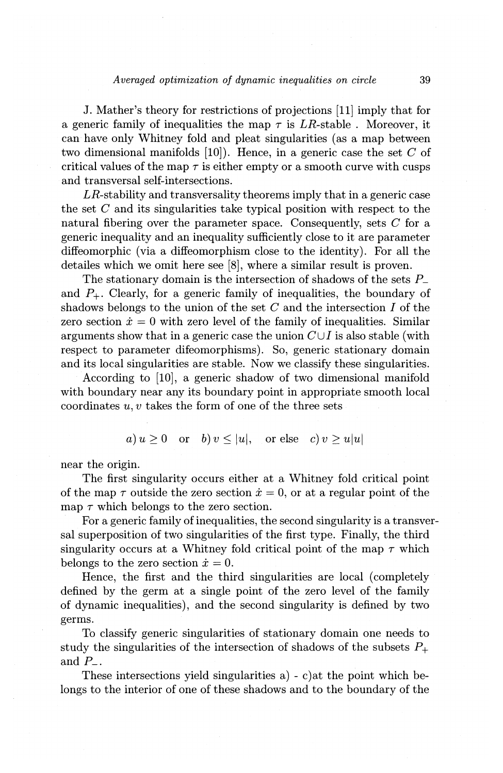### *Averaged optimization of dynamic inequalities on circle* 39

J. Mather's theory for restrictions of projections [11] imply that for a generic family of inequalities the map  $\tau$  is LR-stable . Moreover, it can have only Whitney fold and pleat singularities (as a map between two dimensional manifolds [10]). Hence, in a generic case the set *C* of critical values of the map  $\tau$  is either empty or a smooth curve with cusps and transversal self-intersections.

 $LR$ -stability and transversality theorems imply that in a generic case the set *C* and its singularities take typical position with respect to the natural fibering over the parameter space. Consequently, sets C for a generic inequality and an inequality sufficiently close to it are parameter diffeomorphic (via a diffeomorphism close to the identity). For all the detailes which we omit here see [8], where a similar result is proven.

The stationary domain is the intersection of shadows of the sets  $P_{-}$ and  $P_{+}$ . Clearly, for a generic family of inequalities, the boundary of shadows belongs to the union of the set *C* and the intersection *I* of the zero section  $\dot{x} = 0$  with zero level of the family of inequalities. Similar arguments show that in a generic case the union  $C \cup I$  is also stable (with respect to parameter difeomorphisms). So, generic stationary domain and its local singularities are stable. Now we classify these singularities.

According to [10], a generic shadow of two dimensional manifold with boundary near any its boundary point in appropriate smooth local coordinates *u, v* takes the form of one of the three sets

 $a) u > 0$  or  $b) v \le |u|$ , or else c)  $v > u |u|$ 

near the origin.

The first singularity occurs either at a Whitney fold critical point of the map  $\tau$  outside the zero section  $\dot{x} = 0$ , or at a regular point of the map  $\tau$  which belongs to the zero section.

For a generic family of inequalities, the second singularity is a transversal superposition of two singularities of the first type. Finally, the third singularity occurs at a Whitney fold critical point of the map  $\tau$  which belongs to the zero section  $\dot{x} = 0$ .

Hence, the first and the third singularities are local (completely defined by the germ at a single point of the zero level of the family of dynamic inequalities), and the second singularity is defined by two germs.

To classify generic singularities of stationary domain one needs to study the singularities of the intersection of shadows of the subsets  $P_+$ and *P\_.* 

These intersections yield singularities a) - c)at the point which belongs to the interior of one of these shadows and to the boundary of the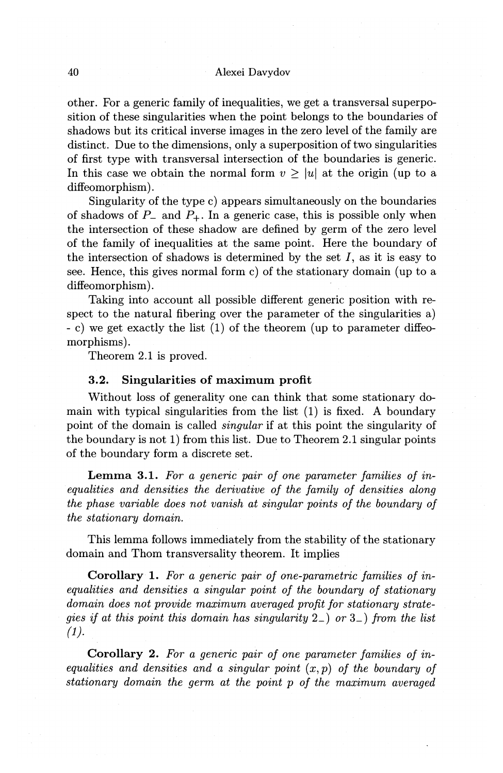other. For a generic family of inequalities, we get a transversal superposition of these singularities when the point belongs to the boundaries of shadows but its critical inverse images in the zero level of the family are distinct. Due to the dimensions, only a superposition of two singularities of first type with transversal intersection of the boundaries is generic. In this case we obtain the normal form  $v > |u|$  at the origin (up to a diffeomorphism).

Singularity of the type c) appears simultaneously on the boundaries of shadows of  $P_-$  and  $P_+$ . In a generic case, this is possible only when the intersection of these shadow are defined by germ of the zero level of the family of inequalities at the same point. Here the boundary of the intersection of shadows is determined by the set *I,* as it is easy to see. Hence, this gives normal form c) of the stationary domain (up to a diffeomorphism).

Taking into account all possible different generic position with respect to the natural fibering over the parameter of the singularities a) - c) we get exactly the list (1) of the theorem (up to parameter diffeomorphisms).

Theorem 2.1 is proved.

# **3.2. Singularities of maximum profit**

Without loss of generality one can think that some stationary domain with typical singularities from the list (1) is fixed. A boundary point of the domain is called *singular* if at this point the singularity of the boundary is not 1) from this list. Due to Theorem 2.1 singular points of the boundary form a discrete set.

**Lemma 3.1.** *For a generic pair of one parameter families of inequalities and densities the derivative of the family of densities along the phase variable does not vanish at singular points of the boundary of the stationary domain.* 

This lemma follows immediately from the stability of the stationary domain and Thom transversality theorem. It implies

**Corollary 1.** *For a generic pair of one-parametric families of inequalities and densities a singular point of the boundary of stationary domain does not provide maximum averaged profit for stationary strategies if at this point this domain has singularity* 2\_) *or* 3\_) *from the list*   $(1).$ 

**Corollary 2.** *For a generic pair of one parameter families of inequalities and densities and a singular point*  $(x, p)$  *of the boundary of stationary domain the germ at the point p of the maximum averaged*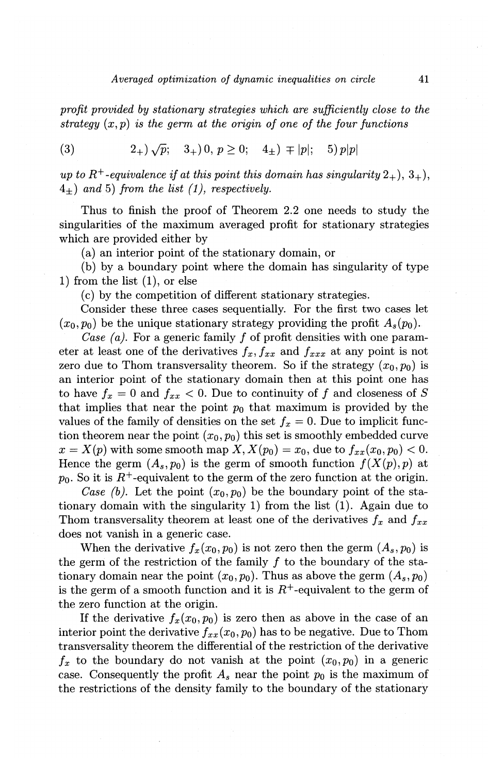*profit provided by stationary strategies which are sufficiently close to the strategy (x,p) is the germ at the origin of one of the four functions* 

(3) 
$$
2_+\}\sqrt{p};
$$
  $3_+\}0, p \ge 0;$   $4_{\pm}\} \mp |p|;$   $5)p|p|$ 

*up to*  $R^+$ -equivalence if at this point this domain has singularity  $2_+$ ,  $3_+$ , 4±) *and* 5) *from the list (1), respectively.* 

Thus to finish the proof of Theorem 2.2 one needs to study the singularities of the maximum averaged profit for stationary strategies which are provided either by

(a) an interior point of the stationary domain, or

(b) by a boundary point where the domain has singularity of type 1) from the list  $(1)$ , or else

(c) by the competition of different stationary strategies.

Consider these three cases sequentially. For the first two cases let  $(x_0, p_0)$  be the unique stationary strategy providing the profit  $A_s(p_0)$ .

*Case (a).* For a generic family *f* of profit densities with one parameter at least one of the derivatives  $f_x, f_{xx}$  and  $f_{xxx}$  at any point is not zero due to Thom transversality theorem. So if the strategy  $(x_0, p_0)$  is an interior point of the stationary domain then at this point one has to have  $f_x = 0$  and  $f_{xx} < 0$ . Due to continuity of f and closeness of S that implies that near the point  $p_0$  that maximum is provided by the values of the family of densities on the set  $f_x = 0$ . Due to implicit function theorem near the point  $(x_0, p_0)$  this set is smoothly embedded curve  $x = X(p)$  with some smooth map  $X, X(p_0) = x_0$ , due to  $f_{xx}(x_0, p_0) < 0$ . Hence the germ  $(A_s, p_0)$  is the germ of smooth function  $f(X(p), p)$  at  $p_0$ . So it is  $R^+$ -equivalent to the germ of the zero function at the origin.

*Case (b).* Let the point  $(x_0, p_0)$  be the boundary point of the stationary domain with the singularity 1) from the list (1). Again due to Thom transversality theorem at least one of the derivatives  $f_x$  and  $f_{xx}$ does not vanish in a generic case.

When the derivative  $f_x(x_0, p_0)$  is not zero then the germ  $(A_s, p_0)$  is the germ of the restriction of the family  $f$  to the boundary of the stationary domain near the point  $(x_0, p_0)$ . Thus as above the germ  $(A_s, p_0)$ is the germ of a smooth function and it is  $R^+$ -equivalent to the germ of the zero function at the origin.

If the derivative  $f_x(x_0, p_0)$  is zero then as above in the case of an interior point the derivative  $f_{xx}(x_0, p_0)$  has to be negative. Due to Thom transversality theorem the differential of the restriction of the derivative  $f_x$  to the boundary do not vanish at the point  $(x_0, p_0)$  in a generic case. Consequently the profit  $A_s$  near the point  $p_0$  is the maximum of the restrictions of the density family to the boundary of the stationary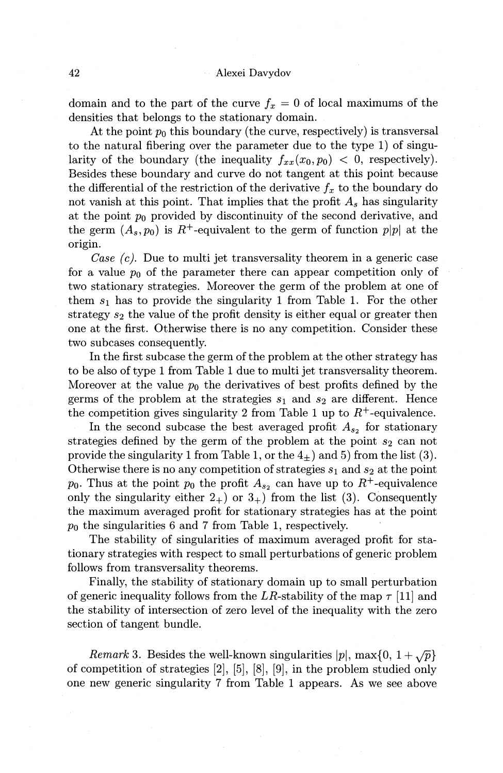domain and to the part of the curve  $f_x = 0$  of local maximums of the densities that belongs to the stationary domain.

At the point  $p_0$  this boundary (the curve, respectively) is transversal to the natural fibering over the parameter due to the type 1) of singularity of the boundary (the inequality  $f_{xx}(x_0, p_0) < 0$ , respectively). Besides these boundary and curve do not tangent at this point because the differential of the restriction of the derivative  $f_x$  to the boundary do not vanish at this point. That implies that the profit *As* has singularity at the point  $p_0$  provided by discontinuity of the second derivative, and the germ  $(A_s, p_0)$  is  $R^+$ -equivalent to the germ of function  $p|p|$  at the origin.

*Case (c).* Due to multi jet transversality theorem in a generic case for a value  $p_0$  of the parameter there can appear competition only of two stationary strategies. Moreover the germ of the problem at one of them  $s_1$  has to provide the singularity 1 from Table 1. For the other strategy *8z* the value of the profit density is either equal or greater then one at the first. Otherwise there is no any competition. Consider these two subcases consequently.

In the first subcase the germ of the problem at the other strategy has to be also of type 1 from Table 1 due to multi jet transversality theorem. Moreover at the value  $p_0$  the derivatives of best profits defined by the germs of the problem at the strategies  $s_1$  and  $s_2$  are different. Hence the competition gives singularity 2 from Table 1 up to  $R^+$ -equivalence.

In the second subcase the best averaged profit  $A_{s_2}$  for stationary strategies defined by the germ of the problem at the point  $s_2$  can not provide the singularity 1 from Table 1, or the  $4_{+}$ ) and 5) from the list (3). Otherwise there is no any competition of strategies  $s_1$  and  $s_2$  at the point  $p_0$ . Thus at the point  $p_0$  the profit  $A_{s_2}$  can have up to  $R^+$ -equivalence only the singularity either  $2_+$ ) or  $3_+$ ) from the list (3). Consequently the maximum averaged profit for stationary strategies has at the point *Po* the singularities 6 and 7 from Table 1, respectively.

The stability of singularities of maximum averaged profit for stationary strategies with respect to small perturbations of generic problem follows from transversality theorems.

Finally, the stability of stationary domain up to small perturbation of generic inequality follows from the LR-stability of the map  $\tau$  [11] and the stability of intersection of zero level of the inequality with the zero section of tangent bundle.

*Remark* 3. Besides the well-known singularities  $|p|$ , max $\{0, 1 + \sqrt{p}\}$ of competition of strategies [2], [5], [8], [9], in the problem studied only one new generic singularity 7 from Table 1 appears. As we see above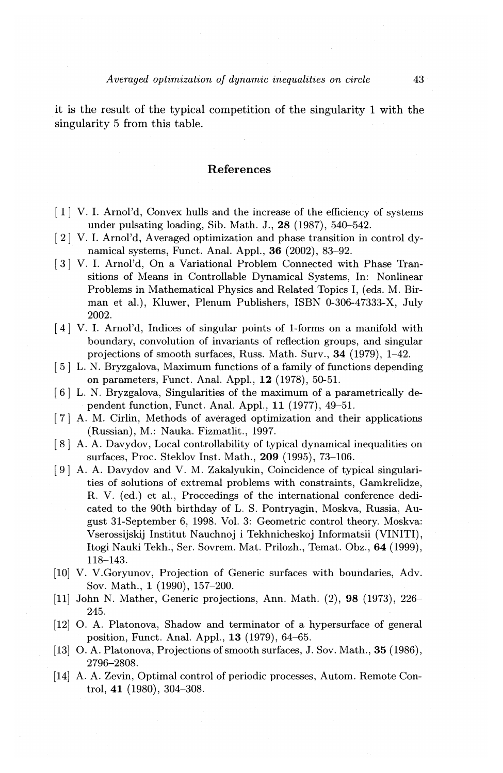it is the result of the typical competition of the singularity 1 with the singularity 5 from this table.

## References

- [ 1] V. I. Arnol'd, Convex hulls and the increase of the efficiency of systems under pulsating loading, Sib. Math. J., 28 (1987), 540-542.
- [ 2] V. I. Arnol'd, Averaged optimization and phase transition in control dynamical systems, Funct. Anal. Appl., 36 (2002), 83-92.
- [3] V. I. Arnol'd, On a Variational Problem Connected with Phase Transitions of Means in Controllable Dynamical Systems, In: Nonlinear Problems in Mathematical Physics and Related Topics I, (eds. M. Birman et al.), Kluwer, Plenum Publishers, ISBN 0-306-47333-X, July 2002.
- [ 4] V. I. Arnol'd, Indices of singular points of 1-forms on a manifold with boundary, convolution of invariants of reflection groups, and singular projections of smooth surfaces, Russ. Math. Surv., 34 (1979), 1-42.
- [ 5] L. N. Bryzgalova, Maximum functions of a family of functions depending on parameters, Funct. Anal. Appl., 12 (1978), 50-51.
- [6] L. N. Bryzgalova, Singularities of the maximum of a parametrically dependent function, Funct. Anal. Appl., 11 (1977), 49-51.
- [ 7] A. M. Cirlin, Methods of averaged optimization and their applications (Russian), M.: Nauka. Fizmatlit., 1997.
- [ 8] A. A. Davydov, Local controllability of typical dynamical inequalities on surfaces, Proc. Steklov Inst. Math., 209 (1995), 73-106.
- [ 9] A. A. Davydov and V. M. Zakalyukin, Coincidence of typical singularities of solutions of extremal problems with constraints, Gamkrelidze, R. V. (ed.) et al., Proceedings of the international conference dedicated to the 90th birthday of L. S. Pontryagin, Moskva, Russia, August 31-September 6, 1998. Vol. 3: Geometric control theory. Moskva: V serossijskij Institut Nauchnoj i Tekhnicheskoj Informatsii (VINITI), Itogi Nauki Tekh., Ser. Sovrem. Mat. Prilozh., Temat. Obz., 64 (1999), 118-143.
- [10] V. V.Goryunov, Projection of Generic surfaces with boundaries, Adv. Sov. Math., 1 (1990), 157-200.
- [11] John N. Mather, Generic projections, Ann. Math. (2), 98 (1973), 226- 245.
- [12] 0. A. Platonova, Shadow and terminator of a hypersurface of general position, Funct. Anal. Appl., 13 (1979), 64-65.
- [13] 0. A. Platonova, Projections of smooth surfaces, J. Sov. Math., 35 (1986), 2796-2808.
- [14] A. A. Zevin, Optimal control of periodic processes, Autom. Remote Control, 41 (1980), 304-308.